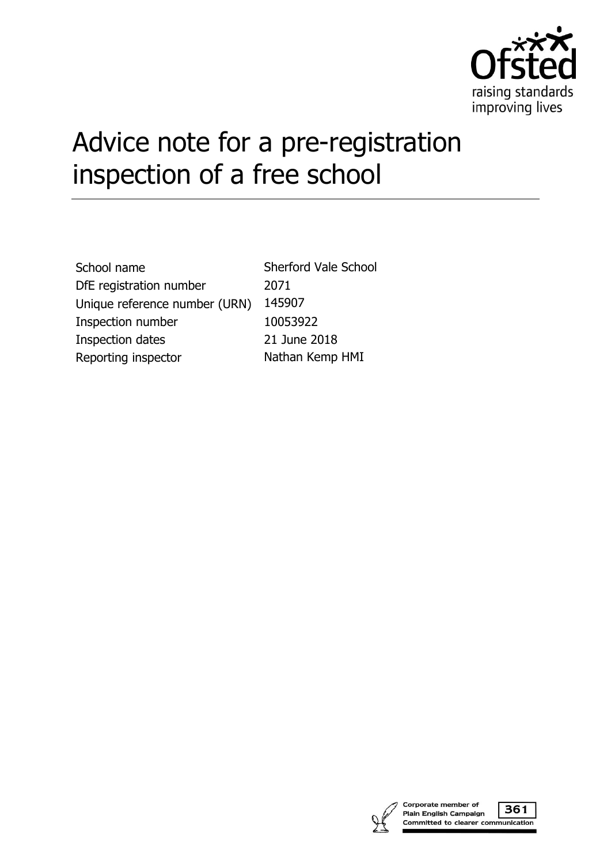

# Advice note for a pre-registration inspection of a free school

| School name                   | <b>Sherford Vale School</b> |
|-------------------------------|-----------------------------|
| DfE registration number       | 2071                        |
| Unique reference number (URN) | 145907                      |
| Inspection number             | 10053922                    |
| Inspection dates              | 21 June 2018                |
| Reporting inspector           | Nathan Kemp HMI             |



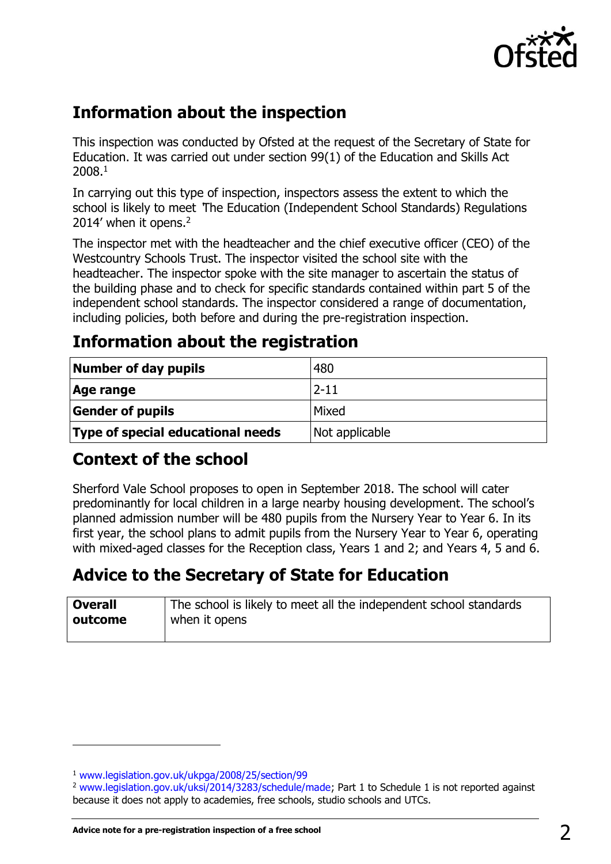

## **Information about the inspection**

This inspection was conducted by Ofsted at the request of the Secretary of State for Education. It was carried out under section 99(1) of the Education and Skills Act 2008.<sup>1</sup>

In carrying out this type of inspection, inspectors assess the extent to which the school is likely to meet 'The Education (Independent School Standards) Regulations 2014' when it opens.<sup>2</sup>

The inspector met with the headteacher and the chief executive officer (CEO) of the Westcountry Schools Trust. The inspector visited the school site with the headteacher. The inspector spoke with the site manager to ascertain the status of the building phase and to check for specific standards contained within part 5 of the independent school standards. The inspector considered a range of documentation, including policies, both before and during the pre-registration inspection.

## **Information about the registration**

| Number of day pupils              | 480            |
|-----------------------------------|----------------|
| Age range                         | $2 - 11$       |
| <b>Gender of pupils</b>           | Mixed          |
| Type of special educational needs | Not applicable |

## **Context of the school**

Sherford Vale School proposes to open in September 2018. The school will cater predominantly for local children in a large nearby housing development. The school's planned admission number will be 480 pupils from the Nursery Year to Year 6. In its first year, the school plans to admit pupils from the Nursery Year to Year 6, operating with mixed-aged classes for the Reception class, Years 1 and 2; and Years 4, 5 and 6.

# **Advice to the Secretary of State for Education**

| <b>Overall</b> | The school is likely to meet all the independent school standards |
|----------------|-------------------------------------------------------------------|
| outcome        | when it opens                                                     |
|                |                                                                   |

 $\overline{a}$ 

<sup>1</sup> [www.legislation.gov.uk/ukpga/2008/25/section/99](http://www.legislation.gov.uk/ukpga/2008/25/section/99) 

<sup>&</sup>lt;sup>2</sup> [www.legislation.gov.uk/uksi/2014/3283/schedule/made;](http://www.legislation.gov.uk/uksi/2014/3283/schedule/made) Part 1 to Schedule 1 is not reported against because it does not apply to academies, free schools, studio schools and UTCs.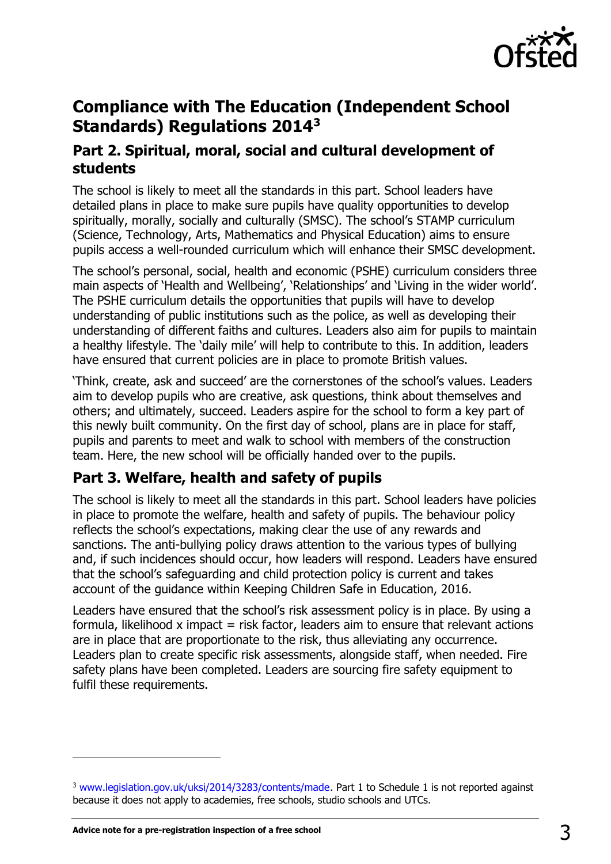

## **Compliance with The Education (Independent School Standards) Regulations 2014<sup>3</sup>**

#### **Part 2. Spiritual, moral, social and cultural development of students**

The school is likely to meet all the standards in this part. School leaders have detailed plans in place to make sure pupils have quality opportunities to develop spiritually, morally, socially and culturally (SMSC). The school's STAMP curriculum (Science, Technology, Arts, Mathematics and Physical Education) aims to ensure pupils access a well-rounded curriculum which will enhance their SMSC development.

The school's personal, social, health and economic (PSHE) curriculum considers three main aspects of 'Health and Wellbeing', 'Relationships' and 'Living in the wider world'. The PSHE curriculum details the opportunities that pupils will have to develop understanding of public institutions such as the police, as well as developing their understanding of different faiths and cultures. Leaders also aim for pupils to maintain a healthy lifestyle. The 'daily mile' will help to contribute to this. In addition, leaders have ensured that current policies are in place to promote British values.

'Think, create, ask and succeed' are the cornerstones of the school's values. Leaders aim to develop pupils who are creative, ask questions, think about themselves and others; and ultimately, succeed. Leaders aspire for the school to form a key part of this newly built community. On the first day of school, plans are in place for staff, pupils and parents to meet and walk to school with members of the construction team. Here, the new school will be officially handed over to the pupils.

## **Part 3. Welfare, health and safety of pupils**

The school is likely to meet all the standards in this part. School leaders have policies in place to promote the welfare, health and safety of pupils. The behaviour policy reflects the school's expectations, making clear the use of any rewards and sanctions. The anti-bullying policy draws attention to the various types of bullying and, if such incidences should occur, how leaders will respond. Leaders have ensured that the school's safeguarding and child protection policy is current and takes account of the guidance within Keeping Children Safe in Education, 2016.

Leaders have ensured that the school's risk assessment policy is in place. By using a formula, likelihood x impact  $=$  risk factor, leaders aim to ensure that relevant actions are in place that are proportionate to the risk, thus alleviating any occurrence. Leaders plan to create specific risk assessments, alongside staff, when needed. Fire safety plans have been completed. Leaders are sourcing fire safety equipment to fulfil these requirements.

j

<sup>&</sup>lt;sup>3</sup> [www.legislation.gov.uk/uksi/2014/3283/contents/made.](http://www.legislation.gov.uk/uksi/2014/3283/contents/made) Part 1 to Schedule 1 is not reported against because it does not apply to academies, free schools, studio schools and UTCs.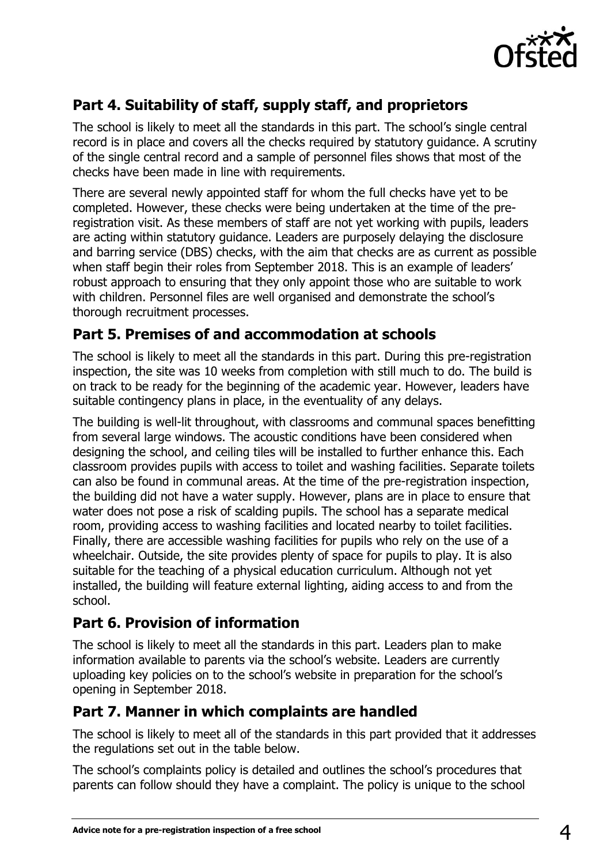

## **Part 4. Suitability of staff, supply staff, and proprietors**

The school is likely to meet all the standards in this part. The school's single central record is in place and covers all the checks required by statutory guidance. A scrutiny of the single central record and a sample of personnel files shows that most of the checks have been made in line with requirements.

There are several newly appointed staff for whom the full checks have yet to be completed. However, these checks were being undertaken at the time of the preregistration visit. As these members of staff are not yet working with pupils, leaders are acting within statutory guidance. Leaders are purposely delaying the disclosure and barring service (DBS) checks, with the aim that checks are as current as possible when staff begin their roles from September 2018. This is an example of leaders' robust approach to ensuring that they only appoint those who are suitable to work with children. Personnel files are well organised and demonstrate the school's thorough recruitment processes.

## **Part 5. Premises of and accommodation at schools**

The school is likely to meet all the standards in this part. During this pre-registration inspection, the site was 10 weeks from completion with still much to do. The build is on track to be ready for the beginning of the academic year. However, leaders have suitable contingency plans in place, in the eventuality of any delays.

The building is well-lit throughout, with classrooms and communal spaces benefitting from several large windows. The acoustic conditions have been considered when designing the school, and ceiling tiles will be installed to further enhance this. Each classroom provides pupils with access to toilet and washing facilities. Separate toilets can also be found in communal areas. At the time of the pre-registration inspection, the building did not have a water supply. However, plans are in place to ensure that water does not pose a risk of scalding pupils. The school has a separate medical room, providing access to washing facilities and located nearby to toilet facilities. Finally, there are accessible washing facilities for pupils who rely on the use of a wheelchair. Outside, the site provides plenty of space for pupils to play. It is also suitable for the teaching of a physical education curriculum. Although not yet installed, the building will feature external lighting, aiding access to and from the school.

#### **Part 6. Provision of information**

The school is likely to meet all the standards in this part. Leaders plan to make information available to parents via the school's website. Leaders are currently uploading key policies on to the school's website in preparation for the school's opening in September 2018.

#### **Part 7. Manner in which complaints are handled**

The school is likely to meet all of the standards in this part provided that it addresses the regulations set out in the table below.

The school's complaints policy is detailed and outlines the school's procedures that parents can follow should they have a complaint. The policy is unique to the school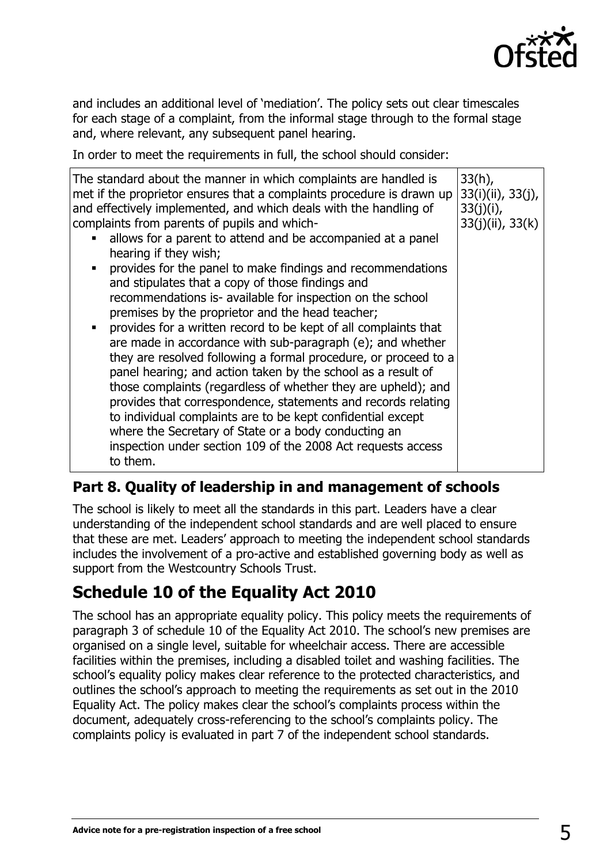

and includes an additional level of 'mediation'. The policy sets out clear timescales for each stage of a complaint, from the informal stage through to the formal stage and, where relevant, any subsequent panel hearing.

In order to meet the requirements in full, the school should consider:

| The standard about the manner in which complaints are handled is<br>met if the proprietor ensures that a complaints procedure is drawn up<br>and effectively implemented, and which deals with the handling of<br>complaints from parents of pupils and which-<br>allows for a parent to attend and be accompanied at a panel<br>hearing if they wish;<br>provides for the panel to make findings and recommendations<br>$\blacksquare$<br>and stipulates that a copy of those findings and<br>recommendations is- available for inspection on the school<br>premises by the proprietor and the head teacher;<br>provides for a written record to be kept of all complaints that<br>are made in accordance with sub-paragraph (e); and whether<br>they are resolved following a formal procedure, or proceed to a<br>panel hearing; and action taken by the school as a result of<br>those complaints (regardless of whether they are upheld); and<br>provides that correspondence, statements and records relating<br>to individual complaints are to be kept confidential except<br>where the Secretary of State or a body conducting an<br>inspection under section 109 of the 2008 Act requests access<br>to them. | $33(h)$ ,<br>33(i)(ii), 33(j),<br>33(j)(i),<br>$33(j)(ii)$ , $33(k)$ |
|------------------------------------------------------------------------------------------------------------------------------------------------------------------------------------------------------------------------------------------------------------------------------------------------------------------------------------------------------------------------------------------------------------------------------------------------------------------------------------------------------------------------------------------------------------------------------------------------------------------------------------------------------------------------------------------------------------------------------------------------------------------------------------------------------------------------------------------------------------------------------------------------------------------------------------------------------------------------------------------------------------------------------------------------------------------------------------------------------------------------------------------------------------------------------------------------------------------------|----------------------------------------------------------------------|
|------------------------------------------------------------------------------------------------------------------------------------------------------------------------------------------------------------------------------------------------------------------------------------------------------------------------------------------------------------------------------------------------------------------------------------------------------------------------------------------------------------------------------------------------------------------------------------------------------------------------------------------------------------------------------------------------------------------------------------------------------------------------------------------------------------------------------------------------------------------------------------------------------------------------------------------------------------------------------------------------------------------------------------------------------------------------------------------------------------------------------------------------------------------------------------------------------------------------|----------------------------------------------------------------------|

## **Part 8. Quality of leadership in and management of schools**

The school is likely to meet all the standards in this part. Leaders have a clear understanding of the independent school standards and are well placed to ensure that these are met. Leaders' approach to meeting the independent school standards includes the involvement of a pro-active and established governing body as well as support from the Westcountry Schools Trust.

# **Schedule 10 of the Equality Act 2010**

The school has an appropriate equality policy. This policy meets the requirements of paragraph 3 of schedule 10 of the Equality Act 2010. The school's new premises are organised on a single level, suitable for wheelchair access. There are accessible facilities within the premises, including a disabled toilet and washing facilities. The school's equality policy makes clear reference to the protected characteristics, and outlines the school's approach to meeting the requirements as set out in the 2010 Equality Act. The policy makes clear the school's complaints process within the document, adequately cross-referencing to the school's complaints policy. The complaints policy is evaluated in part 7 of the independent school standards.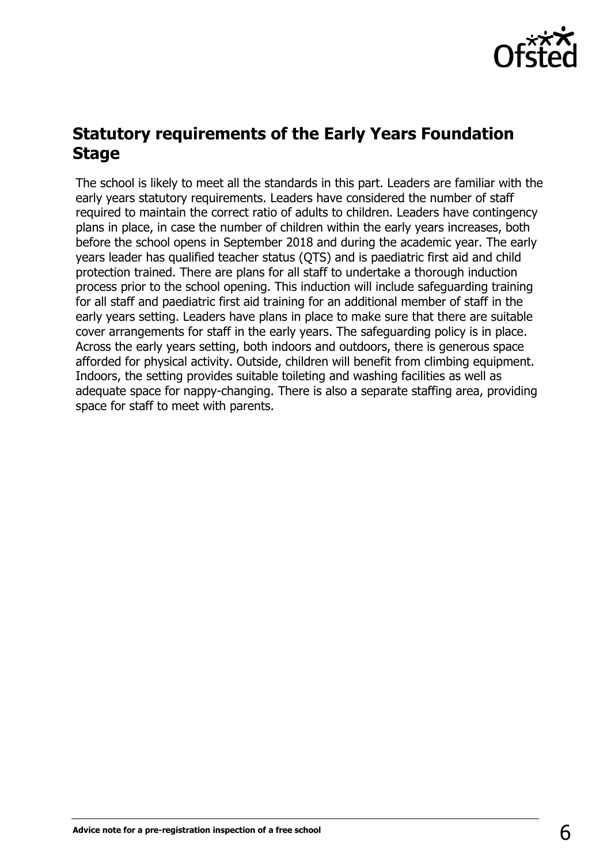

## **Statutory requirements of the Early Years Foundation Stage**

The school is likely to meet all the standards in this part. Leaders are familiar with the early years statutory requirements. Leaders have considered the number of staff required to maintain the correct ratio of adults to children. Leaders have contingency plans in place, in case the number of children within the early years increases, both before the school opens in September 2018 and during the academic year. The early years leader has qualified teacher status (QTS) and is paediatric first aid and child protection trained. There are plans for all staff to undertake a thorough induction process prior to the school opening. This induction will include safeguarding training for all staff and paediatric first aid training for an additional member of staff in the early years setting. Leaders have plans in place to make sure that there are suitable cover arrangements for staff in the early years. The safeguarding policy is in place. Across the early years setting, both indoors and outdoors, there is generous space afforded for physical activity. Outside, children will benefit from climbing equipment. Indoors, the setting provides suitable toileting and washing facilities as well as adequate space for nappy-changing. There is also a separate staffing area, providing space for staff to meet with parents.